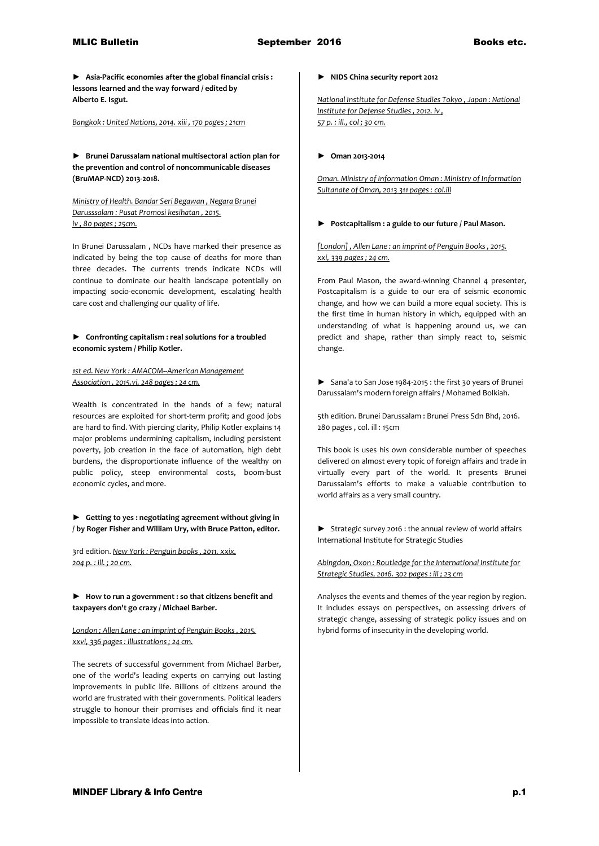**► Asia-Pacific economies after the global financial crisis : lessons learned and the way forward / edited by Alberto E. Isgut.**

*Bangkok : United Nations, 2014. xiii , 170 pages ; 21cm* 

**► Brunei Darussalam national multisectoral action plan for the prevention and control of noncommunicable diseases (BruMAP-NCD) 2013-2018.**

*Ministry of Health. Bandar Seri Begawan , Negara Brunei Darusssalam : Pusat Promosi kesihatan , 2015. iv , 80 pages ; 25cm.*

In Brunei Darussalam , NCDs have marked their presence as indicated by being the top cause of deaths for more than three decades. The currents trends indicate NCDs will continue to dominate our health landscape potentially on impacting socio-economic development, escalating health care cost and challenging our quality of life.

## **► Confronting capitalism : real solutions for a troubled economic system / Philip Kotler.**

### *1st ed. New York : AMACOM--American Management Association , 2015.vi, 248 pages ; 24 cm.*

Wealth is concentrated in the hands of a few; natural resources are exploited for short-term profit; and good jobs are hard to find. With piercing clarity, Philip Kotler explains 14 major problems undermining capitalism, including persistent poverty, job creation in the face of automation, high debt burdens, the disproportionate influence of the wealthy on public policy, steep environmental costs, boom-bust economic cycles, and more.

### **► Getting to yes : negotiating agreement without giving in / by Roger Fisher and William Ury, with Bruce Patton, editor.**

3rd edition. *New York : Penguin books , 2011. xxix, 204 p. : ill. ; 20 cm.* 

**► How to run a government : so that citizens benefit and taxpayers don't go crazy / Michael Barber.**

#### *London ; Allen Lane : an imprint of Penguin Books , 2015. xxvi, 336 pages : illustrations ; 24 cm.*

The secrets of successful government from Michael Barber, one of the world's leading experts on carrying out lasting improvements in public life. Billions of citizens around the world are frustrated with their governments. Political leaders struggle to honour their promises and officials find it near impossible to translate ideas into action.

#### **► NIDS China security report 2012**

*National Institute for Defense Studies Tokyo , Japan : National Institute for Defense Studies , 2012. iv , 57 p. : ill., col ; 30 cm.* 

#### **► Oman 2013-2014**

*Oman. Ministry of Information Oman : Ministry of Information Sultanate of Oman, 2013 311 pages : col.ill* 

### **► Postcapitalism : a guide to our future / Paul Mason.**

*[London] , Allen Lane : an imprint of Penguin Books , 2015. xxi, 339 pages ; 24 cm.*

From Paul Mason, the award-winning Channel 4 presenter, Postcapitalism is a guide to our era of seismic economic change, and how we can build a more equal society. This is the first time in human history in which, equipped with an understanding of what is happening around us, we can predict and shape, rather than simply react to, seismic change.

► Sana'a to San Jose 1984-2015 : the first 30 years of Brunei Darussalam's modern foreign affairs / Mohamed Bolkiah.

5th edition. Brunei Darussalam : Brunei Press Sdn Bhd, 2016. 280 pages , col. ill : 15cm

This book is uses his own considerable number of speeches delivered on almost every topic of foreign affairs and trade in virtually every part of the world. It presents Brunei Darussalam's efforts to make a valuable contribution to world affairs as a very small country.

► Strategic survey 2016 : the annual review of world affairs International Institute for Strategic Studies

*Abingdon, Oxon : Routledge for the International Institute for Strategic Studies, 2016. 302 pages : ill ; 23 cm*

Analyses the events and themes of the year region by region. It includes essays on perspectives, on assessing drivers of strategic change, assessing of strategic policy issues and on hybrid forms of insecurity in the developing world.